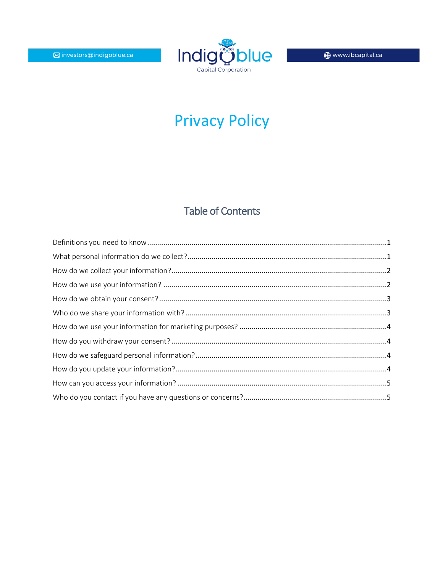

# **Privacy Policy**

# **Table of Contents**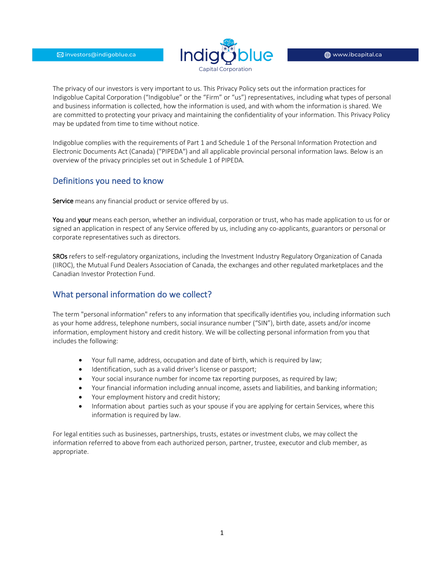

The privacy of our investors is very important to us. This Privacy Policy sets out the information practices for Indigoblue Capital Corporation ("Indigoblue" or the "Firm" or "us") representatives, including what types of personal and business information is collected, how the information is used, and with whom the information is shared. We are committed to protecting your privacy and maintaining the confidentiality of your information. This Privacy Policy may be updated from time to time without notice.

Indigoblue complies with the requirements of Part 1 and Schedule 1 of the Personal Information Protection and Electronic Documents Act (Canada) ("PIPEDA") and all applicable provincial personal information laws. Below is an overview of the privacy principles set out in Schedule 1 of PIPEDA.

#### Definitions you need to know

Service means any financial product or service offered by us.

You and your means each person, whether an individual, corporation or trust, who has made application to us for or signed an application in respect of any Service offered by us, including any co-applicants, guarantors or personal or corporate representatives such as directors.

SROs refers to self-regulatory organizations, including the Investment Industry Regulatory Organization of Canada (IIROC), the Mutual Fund Dealers Association of Canada, the exchanges and other regulated marketplaces and the Canadian Investor Protection Fund.

# What personal information do we collect?

The term "personal information" refers to any information that specifically identifies you, including information such as your home address, telephone numbers, social insurance number ("SIN"), birth date, assets and/or income information, employment history and credit history. We will be collecting personal information from you that includes the following:

- Your full name, address, occupation and date of birth, which is required by law;
- Identification, such as a valid driver's license or passport;
- Your social insurance number for income tax reporting purposes, as required by law;
- Your financial information including annual income, assets and liabilities, and banking information;
- Your employment history and credit history;
- Information about parties such as your spouse if you are applying for certain Services, where this information is required by law.

For legal entities such as businesses, partnerships, trusts, estates or investment clubs, we may collect the information referred to above from each authorized person, partner, trustee, executor and club member, as appropriate.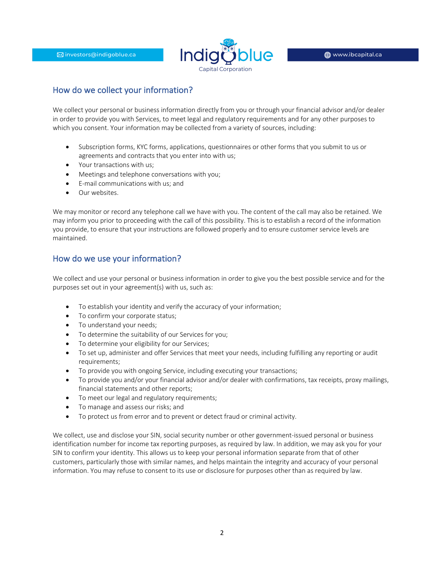

# How do we collect your information?

We collect your personal or business information directly from you or through your financial advisor and/or dealer in order to provide you with Services, to meet legal and regulatory requirements and for any other purposes to which you consent. Your information may be collected from a variety of sources, including:

- Subscription forms, KYC forms, applications, questionnaires or other forms that you submit to us or agreements and contracts that you enter into with us;
- Your transactions with us;
- Meetings and telephone conversations with you;
- E-mail communications with us; and
- Our websites.

We may monitor or record any telephone call we have with you. The content of the call may also be retained. We may inform you prior to proceeding with the call of this possibility. This is to establish a record of the information you provide, to ensure that your instructions are followed properly and to ensure customer service levels are maintained.

#### How do we use your information?

We collect and use your personal or business information in order to give you the best possible service and for the purposes set out in your agreement(s) with us, such as:

- To establish your identity and verify the accuracy of your information;
- To confirm your corporate status;
- To understand your needs;
- To determine the suitability of our Services for you;
- To determine your eligibility for our Services;
- To set up, administer and offer Services that meet your needs, including fulfilling any reporting or audit requirements;
- To provide you with ongoing Service, including executing your transactions;
- To provide you and/or your financial advisor and/or dealer with confirmations, tax receipts, proxy mailings, financial statements and other reports;
- To meet our legal and regulatory requirements;
- To manage and assess our risks; and
- To protect us from error and to prevent or detect fraud or criminal activity.

We collect, use and disclose your SIN, social security number or other government-issued personal or business identification number for income tax reporting purposes, as required by law. In addition, we may ask you for your SIN to confirm your identity. This allows us to keep your personal information separate from that of other customers, particularly those with similar names, and helps maintain the integrity and accuracy of your personal information. You may refuse to consent to its use or disclosure for purposes other than as required by law.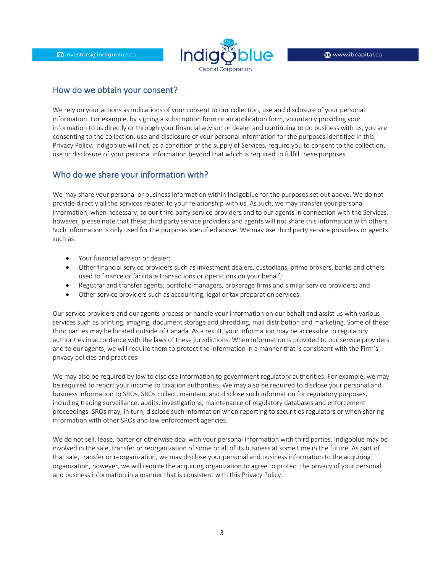

#### How do we obtain your consent?

We rely on your actions as indications of your consent to our collection, use and disclosure of your personal information. For example, by signing a subscription form or an application form, voluntarily providing your information to us directly or through your financial advisor or dealer and continuing to do business with us, you are consenting to the collection, use and disclosure of your personal information for the purposes identified in this Privacy Policy. Indigoblue will not, as a condition of the supply of Services, require you to consent to the collection, use or disclosure of your personal information beyond that which is required to fulfill these purposes.

#### Who do we share your information with?

We may share your personal or business information within Indigoblue for the purposes set out above. We do not provide directly all the services related to your relationship with us. As such, we may transfer your personal information, when necessary, to our third party service providers and to our agents in connection with the Services, however, please note that these third party service providers and agents will not share this information with others. Such information is only used for the purposes identified above. We may use third party service providers or agents such as:

- Your financial advisor or dealer;
- Other financial service providers such as investment dealers, custodians, prime brokers, banks and others used to finance or facilitate transactions or operations on your behalf;
- Registrar and transfer agents, portfolio managers, brokerage firms and similar service providers; and
- Other service providers such as accounting, legal or tax preparation services.

Our service providers and our agents process or handle your information on our behalf and assist us with various services such as printing, imaging, document storage and shredding, mail distribution and marketing. Some of these third parties may be located outside of Canada. As a result, your information may be accessible to regulatory authorities in accordance with the laws of these jurisdictions. When information is provided to our service providers and to our agents, we will require them to protect the information in a manner that is consistent with the Firm's privacy policies and practices.

We may also be required by law to disclose information to government regulatory authorities. For example, we may be required to report your income to taxation authorities. We may also be required to disclose your personal and business information to SROs. SROs collect, maintain, and disclose such information for regulatory purposes, including trading surveillance, audits, investigations, maintenance of regulatory databases and enforcement proceedings. SROs may, in turn, disclose such information when reporting to securities regulators or when sharing information with other SROs and law enforcement agencies.

We do not sell, lease, barter or otherwise deal with your personal information with third parties. Indigoblue may be involved in the sale, transfer or reorganization of some or all of its business at some time in the future. As part of that sale, transfer or reorganization, we may disclose your personal and business information to the acquiring organization, however, we will require the acquiring organization to agree to protect the privacy of your personal and business information in a manner that is consistent with this Privacy Policy.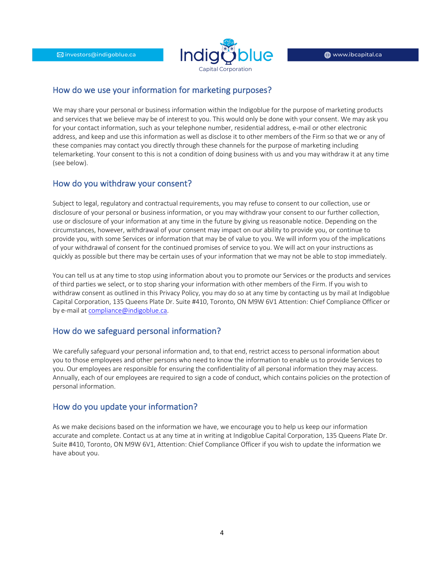

#### How do we use your information for marketing purposes?

We may share your personal or business information within the Indigoblue for the purpose of marketing products and services that we believe may be of interest to you. This would only be done with your consent. We may ask you for your contact information, such as your telephone number, residential address, e-mail or other electronic address, and keep and use this information as well as disclose it to other members of the Firm so that we or any of these companies may contact you directly through these channels for the purpose of marketing including telemarketing. Your consent to this is not a condition of doing business with us and you may withdraw it at any time (see below).

#### How do you withdraw your consent?

Subject to legal, regulatory and contractual requirements, you may refuse to consent to our collection, use or disclosure of your personal or business information, or you may withdraw your consent to our further collection, use or disclosure of your information at any time in the future by giving us reasonable notice. Depending on the circumstances, however, withdrawal of your consent may impact on our ability to provide you, or continue to provide you, with some Services or information that may be of value to you. We will inform you of the implications of your withdrawal of consent for the continued promises of service to you. We will act on your instructions as quickly as possible but there may be certain uses of your information that we may not be able to stop immediately.

You can tell us at any time to stop using information about you to promote our Services or the products and services of third parties we select, or to stop sharing your information with other members of the Firm. If you wish to withdraw consent as outlined in this Privacy Policy, you may do so at any time by contacting us by mail at Indigoblue Capital Corporation, 135 Queens Plate Dr. Suite #410, Toronto, ON M9W 6V1 Attention: Chief Compliance Officer or by e-mail at compliance@indigoblue.ca.

# How do we safeguard personal information?

We carefully safeguard your personal information and, to that end, restrict access to personal information about you to those employees and other persons who need to know the information to enable us to provide Services to you. Our employees are responsible for ensuring the confidentiality of all personal information they may access. Annually, each of our employees are required to sign a code of conduct, which contains policies on the protection of personal information.

#### How do you update your information?

As we make decisions based on the information we have, we encourage you to help us keep our information accurate and complete. Contact us at any time at in writing at Indigoblue Capital Corporation, 135 Queens Plate Dr. Suite #410, Toronto, ON M9W 6V1, Attention: Chief Compliance Officer if you wish to update the information we have about you.